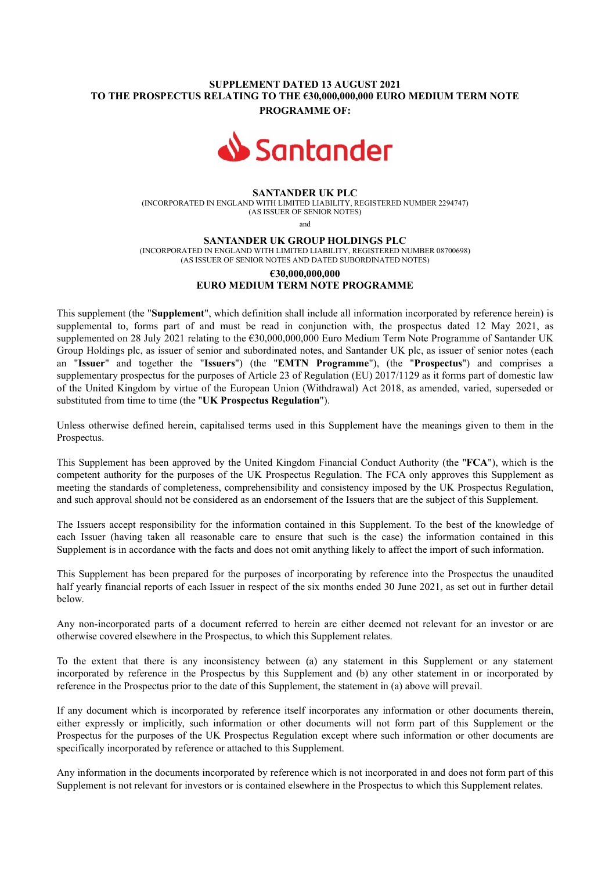## SUPPLEMENT DATED 13 AUGUST 2021 TO THE PROSPECTUS RELATING TO THE €30,000,000,000 EURO MEDIUM TERM NOTE PROGRAMME OF:



#### SANTANDER UK PLC

(INCORPORATED IN ENGLAND WITH LIMITED LIABILITY, REGISTERED NUMBER 2294747) (AS ISSUER OF SENIOR NOTES)

and

SANTANDER UK GROUP HOLDINGS PLC

(INCORPORATED IN ENGLAND WITH LIMITED LIABILITY, REGISTERED NUMBER 08700698) (AS ISSUER OF SENIOR NOTES AND DATED SUBORDINATED NOTES)

# €30,000,000,000 EURO MEDIUM TERM NOTE PROGRAMME

This supplement (the "Supplement", which definition shall include all information incorporated by reference herein) is supplemental to, forms part of and must be read in conjunction with, the prospectus dated 12 May 2021, as supplemented on 28 July 2021 relating to the  $630,000,000,000$  Euro Medium Term Note Programme of Santander UK Group Holdings plc, as issuer of senior and subordinated notes, and Santander UK plc, as issuer of senior notes (each an "Issuer" and together the "Issuers") (the "EMTN Programme"), (the "Prospectus") and comprises a supplementary prospectus for the purposes of Article 23 of Regulation (EU) 2017/1129 as it forms part of domestic law of the United Kingdom by virtue of the European Union (Withdrawal) Act 2018, as amended, varied, superseded or substituted from time to time (the "UK Prospectus Regulation").

Unless otherwise defined herein, capitalised terms used in this Supplement have the meanings given to them in the Prospectus.

This Supplement has been approved by the United Kingdom Financial Conduct Authority (the "FCA"), which is the competent authority for the purposes of the UK Prospectus Regulation. The FCA only approves this Supplement as meeting the standards of completeness, comprehensibility and consistency imposed by the UK Prospectus Regulation, and such approval should not be considered as an endorsement of the Issuers that are the subject of this Supplement.

The Issuers accept responsibility for the information contained in this Supplement. To the best of the knowledge of each Issuer (having taken all reasonable care to ensure that such is the case) the information contained in this Supplement is in accordance with the facts and does not omit anything likely to affect the import of such information.

This Supplement has been prepared for the purposes of incorporating by reference into the Prospectus the unaudited half yearly financial reports of each Issuer in respect of the six months ended 30 June 2021, as set out in further detail below.

Any non-incorporated parts of a document referred to herein are either deemed not relevant for an investor or are otherwise covered elsewhere in the Prospectus, to which this Supplement relates.

To the extent that there is any inconsistency between (a) any statement in this Supplement or any statement incorporated by reference in the Prospectus by this Supplement and (b) any other statement in or incorporated by reference in the Prospectus prior to the date of this Supplement, the statement in (a) above will prevail.

If any document which is incorporated by reference itself incorporates any information or other documents therein, either expressly or implicitly, such information or other documents will not form part of this Supplement or the Prospectus for the purposes of the UK Prospectus Regulation except where such information or other documents are specifically incorporated by reference or attached to this Supplement.

Any information in the documents incorporated by reference which is not incorporated in and does not form part of this Supplement is not relevant for investors or is contained elsewhere in the Prospectus to which this Supplement relates.